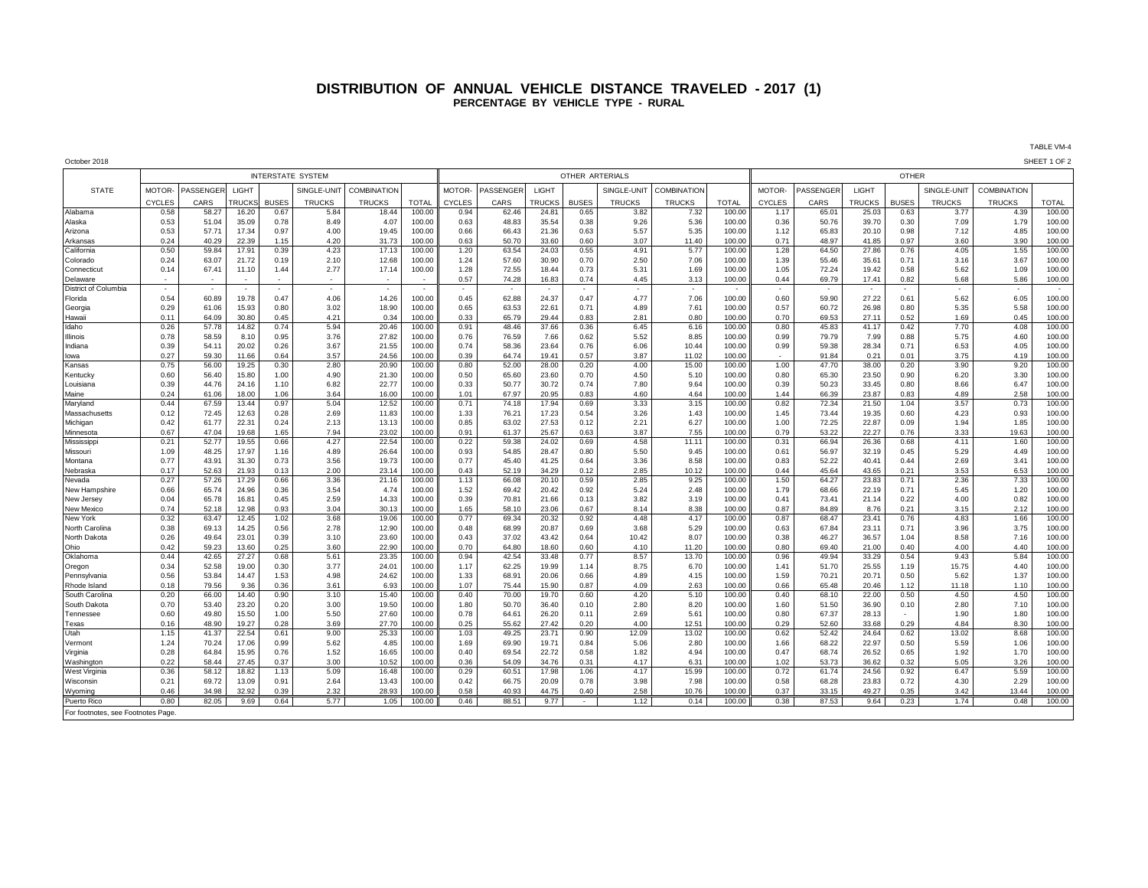## **DISTRIBUTION OF ANNUAL VEHICLE DISTANCE TRAVELED - 2017 (1) PERCENTAGE BY VEHICLE TYPE - RURAL**

TABLE VM-4

| October 2018         |                          |                  |                |              |                          |                    |                  |               |                          |                |                          |               |                    |                  |               |                          |                |              |                          |                          | SHEET 1 OF 2     |  |
|----------------------|--------------------------|------------------|----------------|--------------|--------------------------|--------------------|------------------|---------------|--------------------------|----------------|--------------------------|---------------|--------------------|------------------|---------------|--------------------------|----------------|--------------|--------------------------|--------------------------|------------------|--|
|                      | <b>INTERSTATE SYSTEM</b> |                  |                |              |                          |                    |                  |               | OTHER ARTERIALS          |                |                          |               |                    |                  |               | <b>OTHER</b>             |                |              |                          |                          |                  |  |
| <b>STATE</b>         | MOTOR-                   | <b>PASSENGEF</b> | LIGHT          |              | SINGLE-UNIT              | <b>COMBINATION</b> |                  | MOTOR-        | ASSENGER                 | <b>LIGHT</b>   |                          | SINGLE-UNIT   | <b>COMBINATION</b> |                  | MOTOR-        | PASSENGER                | LIGHT          |              | SINGLE-UNIT              | <b>COMBINATION</b>       |                  |  |
|                      | <b>CYCLES</b>            | CARS             | <b>RUCK</b>    | <b>BUSES</b> | <b>TRUCKS</b>            | <b>TRUCKS</b>      | <b>TOTAL</b>     | <b>CYCLES</b> | CARS                     | <b>TRUCKS</b>  | <b>BUSES</b>             | <b>TRUCKS</b> | <b>TRUCKS</b>      | <b>TOTAL</b>     | <b>CYCLES</b> | CARS                     | <b>TRUCKS</b>  | <b>BUSES</b> | <b>TRUCKS</b>            | <b>TRUCKS</b>            | <b>TOTAL</b>     |  |
| Alabama              | 0.58                     | 58.27            | 16.20          | 0.67         | 5.84                     | 18.44              | 100.00           | 0.94          | 62.46                    | 24.81          | 0.65                     | 3.82          | 7.32               | 100.00           | 1.17          | 65.01                    | 25.03          | 0.63         | 3.77                     | 4.39                     | 100.00           |  |
| Alaska               | 0.53                     | 51.04            | 35.09          | 0.78         | 8.49                     | 4.07               | 100.00           | 0.63          | 48.83                    | 35.54          | 0.38                     | 9.26          | 5.36               | 100.00           | 0.36          | 50.76                    | 39.70          | 0.30         | 7.09                     | 1.79                     | 100.00           |  |
| Arizona              | 0.53                     | 57.71            | 17.34          | 0.97         | 4.00                     | 19.45              | 100.00           | 0.66          | 66.43                    | 21.36          | 0.63                     | 5.57          | 5.35               | 100.00           | 1.12          | 65.83                    | 20.10          | 0.98         | 7.12                     | 4.85                     | 100.00           |  |
| Arkansas             | 0.24                     | 40.29            | 22.39          | 1.15         | 4.20                     | 31.73              | 100.00           | 0.63          | 50.70                    | 33.60          | 0.60                     | 3.07          | 11.40              | 100.00           | 0.71          | 48.97                    | 41.85          | 0.97         | 3.60                     | 3.90                     | 100.00           |  |
| California           | 0.50                     | 59.84            | 17.91          | 0.39         | 4.23                     | 17.13              | 100.00           | 1.20          | 63.54                    | 24.03          | 0.55                     | 4.91          | 5.77               | 100.00           | 1.28          | 64.50                    | 27.86          | 0.76         | 4.05                     | 1.55                     | 100.00           |  |
| Colorado             | 0.24                     | 63.07            | 21.72          | 0.19         | 2.10                     | 12.68              | 100.00           | 1.24          | 57.60                    | 30.90          | 0.70                     | 2.50          | 7.06               | 100.00           | 1.39          | 55.46                    | 35.61          | 0.71         | 3.16                     | 3.67                     | 100.00           |  |
| Connecticu           | 0.14                     | 67.41            | 11.10          | 1.44         | 2.77                     | 17.14              | 100.00           | 1.28          | 72.55                    | 18.44          | 0.73                     | 5.31          | 1.69               | 100.00           | 1.05          | 72.24                    | 19.42          | 0.58         | 5.62                     | 1.09                     | 100.00           |  |
| Delaware             |                          |                  |                |              | $\overline{\phantom{a}}$ |                    |                  | 0.57          | 74.28                    | 16.83          | 0.74                     | 4.45          | 3.13               | 100.00           | 0.44          | 69.79                    | 17.41          | 0.82         | 5.68                     | 5.86                     | 100.00           |  |
| District of Columbia |                          |                  |                | $\sim$       | $\overline{\phantom{a}}$ |                    |                  | $\sim$        | $\overline{\phantom{a}}$ |                | $\overline{\phantom{a}}$ |               |                    |                  | $\sim$        | $\overline{\phantom{a}}$ |                | $\sim$       | $\overline{\phantom{a}}$ | $\overline{\phantom{a}}$ |                  |  |
| Florida              | 0.54                     | 60.89            | 19.78          | 0.47         | 4.06                     | 14.26              | 100.00           | 0.45          | 62.88                    | 24.37          | 0.47                     | 4.77          | 7.06               | 100.00           | 0.60          | 59.90                    | 27.22          | 0.61         | 5.62                     | 6.05                     | 100.00           |  |
| Georgia              | 0.29                     | 61.06            | 15.93          | 0.80         | 3.02                     | 18.90              | 100.00           | 0.65          | 63.53                    | 22.61          | 0.71                     | 4.89          | 7.61               | 100.00           | 0.57          | 60.72                    | 26.98          | 0.80         | 5.35                     | 5.58                     | 100.00           |  |
| Hawaii               | 0.11                     | 64.09            | 30.80          | 0.45         | 4.21                     | 0.34               | 100.00           | 0.33          | 65.79                    | 29.44          | 0.83                     | 2.81          | 0.80               | 100.00           | 0.70          | 69.53                    | 27.11          | 0.52         | 1.69                     | 0.45                     | 100.00           |  |
| Idaho                | 0.26                     | 57.78            | 14.82          | 0.74         | 5.94                     | 20.46              | 100.00           | 0.91          | 48.46                    | 37.66          | 0.36                     | 6.45          | 6.16               | 100.00           | 0.80          | 45.83                    | 41.17          | 0.42         | 7.70                     | 4.08                     | 100.00           |  |
| <b>Ilinois</b>       | 0.78                     | 58.59            | 8.10           | 0.95         | 3.76                     | 27.82              | 100.00           | 0.76          | 76.59                    | 7.66           | 0.62                     | 5.52          | 8.85               | 100.00           | 0.99          | 79.79                    | 7.99           | 0.88         | 5.75                     | 4.60                     | 100.00           |  |
| Indiana              | 0.39                     | 54.11            | 20.02          | 0.26         | 3.67                     | 21.55              | 100.00           | 0.74          | 58.36                    | 23.64          | 0.76                     | 6.06          | 10.44              | 100.00           | 0.99          | 59.38                    | 28.34          | 0.71         | 6.53                     | 4.05                     | 100.00           |  |
| lowa                 | 0.27                     | 59.30            | 11.66          | 0.64         | 3.57                     | 24.56              | 100.00           | 0.39          | 64.74                    | 19.41          | 0.57                     | 3.87          | 11.02              | 100.00           |               | 91.84                    | 0.21           | 0.01         | 3.75                     | 4.19                     | 100.00           |  |
| Kansas               | 0.75                     | 56.00            | 19.25          | 0.30         | 2.80                     | 20.90              | 100.00           | 0.80          | 52.00                    | 28.00          | 0.20                     | 4.00          | 15.00              | 100.00           | 1.00          | 47.70                    | 38.00          | 0.20         | 3.90                     | 9.20                     | 100.00           |  |
| Kentucky             | 0.60                     | 56.40<br>44.76   | 15.80          | 1.00<br>1.10 | 4.90                     | 21.30<br>22.77     | 100.00<br>100.00 | 0.50          | 65.60<br>50.77           | 23.60<br>30.72 | 0.70<br>0.74             | 4.50<br>7.80  | 5.10               | 100.00<br>100.00 | 0.80          | 65.30                    | 23.50<br>33.45 | 0.90<br>0.80 | 6.20<br>8.66             | 3.30                     | 100.00<br>100.00 |  |
| Louisiana<br>vlaine  | 0.39<br>0.24             | 61.06            | 24.16<br>18.00 | 1.06         | 6.82<br>3.64             | 16.00              | 100.00           | 0.33<br>1.01  | 67.97                    | 20.95          | 0.83                     | 4.60          | 9.64<br>4.64       | 100.00           | 0.39<br>1.44  | 50.23<br>66.39           | 23.87          | 0.83         | 4.89                     | 6.47<br>2.58             | 100.00           |  |
| Maryland             | 0.44                     | 67.59            | 13.44          | 0.97         | 5.04                     | 12.52              | 100.00           | 0.71          | 74.18                    | 17.94          | 0.69                     | 3.33          | 3.15               | 100.00           | 0.82          | 72.34                    | 21.50          | 1.04         | 3.57                     | 0.73                     | 100.00           |  |
| Massachusetts        | 0.12                     | 72.45            | 12.63          | 0.28         | 2.69                     | 11.83              | 100.00           | 1.33          | 76.21                    | 17.23          | 0.54                     | 3.26          | 1.43               | 100.00           | 1.45          | 73.44                    | 19.35          | 0.60         | 4.23                     | 0.93                     | 100.00           |  |
| Michigan             | 0.42                     | 61.77            | 22.31          | 0.24         | 2.13                     | 13.13              | 100.00           | 0.85          | 63.02                    | 27.53          | 0.12                     | 2.21          | 6.27               | 100.00           | 1.00          | 72.25                    | 22.87          | 0.09         | 1.94                     | 1.85                     | 100.00           |  |
| Minnesota            | 0.67                     | 47.04            | 19.68          | 1.65         | 7.94                     | 23.02              | 100.00           | 0.91          | 61.37                    | 25.67          | 0.63                     | 3.87          | 7.55               | 100.00           | 0.79          | 53.22                    | 22.27          | 0.76         | 3.33                     | 19.63                    | 100.00           |  |
| Mississipp           | 0.21                     | 52.77            | 19.55          | 0.66         | 4.27                     | 22.54              | 100.00           | 0.22          | 59.38                    | 24.02          | 0.69                     | 4.58          | 11.11              | 100.00           | 0.31          | 66.94                    | 26.36          | 0.68         | 4.11                     | 1.60                     | 100.00           |  |
| Missouri             | 1.09                     | 48.25            | 17.97          | 1.16         | 4.89                     | 26.64              | 100.00           | 0.93          | 54.85                    | 28.47          | 0.80                     | 5.50          | 9.45               | 100.00           | 0.61          | 56.97                    | 32.19          | 0.45         | 5.29                     | 4.49                     | 100.00           |  |
| Montana              | 0.77                     | 43.91            | 31.30          | 0.73         | 3.56                     | 19.73              | 100.00           | 0.77          | 45.40                    | 41.25          | 0.64                     | 3.36          | 8.58               | 100.00           | 0.83          | 52.22                    | 40.41          | 0.44         | 2.69                     | 3.41                     | 100.00           |  |
| Nebraska             | 0.17                     | 52.63            | 21.93          | 0.13         | 2.00                     | 23.14              | 100.00           | 0.43          | 52.19                    | 34.29          | 0.12                     | 2.85          | 10.12              | 100.00           | 0.44          | 45.64                    | 43.65          | 0.21         | 3.53                     | 6.53                     | 100.00           |  |
| Nevada               | 0.27                     | 57.26            | 17.29          | 0.66         | 3.36                     | 21.16              | 100.00           | 1.13          | 66.08                    | 20.10          | 0.59                     | 2.85          | 9.25               | 100.00           | 1.50          | 64.27                    | 23.83          | 0.71         | 2.36                     | 7.33                     | 100.00           |  |
| New Hampshire        | 0.66                     | 65.74            | 24.96          | 0.36         | 3.54                     | 4.74               | 100.00           | 1.52          | 69.42                    | 20.42          | 0.92                     | 5.24          | 2.48               | 100.00           | 1.79          | 68.66                    | 22.19          | 0.71         | 5.45                     | 1.20                     | 100.00           |  |
| New Jersey           | 0.04                     | 65.78            | 16.81          | 0.45         | 2.59                     | 14.33              | 100.00           | 0.39          | 70.81                    | 21.66          | 0.13                     | 3.82          | 3.19               | 100.00           | 0.41          | 73.41                    | 21.14          | 0.22         | 4.00                     | 0.82                     | 100.00           |  |
| New Mexico           | 0.74                     | 52.18            | 12.98          | 0.93         | 3.04                     | 30.13              | 100.00           | 1.65          | 58.10                    | 23.06          | 0.67                     | 8.14          | 8.38               | 100.00           | 0.87          | 84.89                    | 8.76           | 0.21         | 3.15                     | 2.12                     | 100.00           |  |
| New York             | 0.32                     | 63.47            | 12.45          | 1.02         | 3.68                     | 19.06              | 100.00           | 0.77          | 69.34                    | 20.32          | 0.92                     | 4.48          | 4.17               | 100.00           | 0.87          | 68.47                    | 23.41          | 0.76         | 4.83                     | 1.66                     | 100.00           |  |
| North Carolina       | 0.38                     | 69.13            | 14.25          | 0.56         | 2.78                     | 12.90              | 100.00           | 0.48          | 68.99                    | 20.87          | 0.69                     | 3.68          | 5.29               | 100.00           | 0.63          | 67.84                    | 23.11          | 0.71         | 3.96                     | 3.75                     | 100.00           |  |
| North Dakota         | 0.26                     | 49.64            | 23.01          | 0.39         | 3.10                     | 23.60              | 100.00           | 0.43          | 37.02                    | 43.42          | 0.64                     | 10.42         | 8.07               | 100.00           | 0.38          | 46.27                    | 36.57          | 1.04         | 8.58                     | 7.16                     | 100.00           |  |
| Ohio                 | 0.42                     | 59.23            | 13.60          | 0.25         | 3.60                     | 22.90              | 100.00           | 0.70          | 64.80                    | 18.60          | 0.60                     | 4.10          | 11.20              | 100.00           | 0.80          | 69.40                    | 21.00          | 0.40         | 4.00                     | 4.40                     | 100.00           |  |
| Oklahoma             | 0.44                     | 42.65            | 27.27          | 0.68         | 5.61                     | 23.35              | 100.00           | 0.94          | 42.54                    | 33.48          | 0.77                     | 8.57          | 13.70              | 100.00           | 0.96          | 49.94                    | 33.29          | 0.54         | 9.43                     | 5.84                     | 100.00           |  |
| Oregon               | 0.34                     | 52.58            | 19.00          | 0.30         | 3.77                     | 24.01              | 100.00           | 1.17          | 62.25                    | 19.99          | 1.14                     | 8.75          | 6.70               | 100.00           | 1.41          | 51.70                    | 25.55          | 1.19         | 15.75                    | 4.40                     | 100.00           |  |
| Pennsylvania         | 0.56                     | 53.84            | 14.47          | 1.53         | 4.98                     | 24.62              | 100.00           | 1.33          | 68.91                    | 20.06          | 0.66                     | 4.89          | 4.15               | 100.00           | 1.59          | 70.21                    | 20.71          | 0.50         | 5.62                     | 1.37                     | 100.00           |  |
| Rhode Island         | 0.18                     | 79.56            | 9.36           | 0.36         | 3.61                     | 6.93               | 100.00           | 1.07          | 75.44                    | 15.90          | 0.87                     | 4.09          | 2.63               | 100.00           | 0.66          | 65.48                    | 20.46          | 1.12         | 11.18                    | 1.10                     | 100.00           |  |
| South Carolina       | 0.20                     | 66.00            | 14.40          | 0.90         | 3.10                     | 15.40              | 100.00           | 0.40          | 70.00                    | 19.70          | 0.60                     | 4.20          | 5.10               | 100.00           | 0.40          | 68.10                    | 22.00          | 0.50         | 4.50                     | 4.50                     | 100.00           |  |
| South Dakota         | 0.70                     | 53.40            | 23.20          | 0.20         | 3.00                     | 19.50              | 100.00           | 1.80          | 50.70                    | 36.40          | 0.10                     | 2.80          | 8.20               | 100.00           | 1.60          | 51.50                    | 36.90          | 0.10         | 2.80                     | 7.10                     | 100.00           |  |
| Tennessee            | 0.60                     | 49.80            | 15.50          | 1.00         | 5.50                     | 27.60              | 100.00           | 0.78          | 64.61                    | 26.20          | 0.11                     | 2.69          | 5.61               | 100.00           | 0.80          | 67.37                    | 28.13          |              | 1.90                     | 1.80                     | 100.00           |  |
| Texas                | 0.16                     | 48.90            | 19.27          | 0.28         | 3.69                     | 27.70              | 100.00           | 0.25          | 55.62                    | 27.42          | 0.20                     | 4.00          | 12.51              | 100.00           | 0.29          | 52.60                    | 33.68          | 0.29         | 4.84                     | 8.30                     | 100.00           |  |
| Utah                 | 1.15                     | 41.37            | 22.54          | 0.61         | 9.00                     | 25.33              | 100.00           | 1.03          | 49.25                    | 23.71          | 0.90                     | 12.09         | 13.02              | 100.00           | 0.62          | 52.42                    | 24.64          | 0.62         | 13.02                    | 8.68                     | 100.00           |  |
| Vermont              | 1.24                     | 70.24            | 17.06          | 0.99         | 5.62                     | 4.85               | 100.00           | 1.69          | 69.90                    | 19.71          | 0.84                     | 5.06          | 2.80               | 100.00           | 1.66          | 68.22                    | 22.97          | 0.50         | 5.59                     | 1.06                     | 100.00           |  |
| Virginia             | 0.28                     | 64.84            | 15.95          | 0.76         | 1.52                     | 16.65              | 100.00           | 0.40          | 69.54                    | 22.72          | 0.58                     | 1.82          | 4.94               | 100.00           | 0.47          | 68.74                    | 26.52          | 0.65         | 1.92                     | 1.70                     | 100.00           |  |
| Washingtor           | 0.22<br>0.36             | 58.44<br>58.12   | 27.45<br>18.82 | 0.37<br>1.13 | 3.00<br>5.09             | 10.52<br>16.48     | 100.00<br>100.00 | 0.36<br>0.29  | 54.09<br>60.51           | 34.76<br>17.98 | 0.31<br>1.06             | 4.17<br>4.17  | 6.31<br>15.99      | 100.00<br>100.00 | 1.02<br>0.72  | 53.73<br>61.74           | 36.62<br>24.56 | 0.32<br>0.92 | 5.05<br>6.47             | 3.26<br>5.59             | 100.00<br>100.00 |  |
| West Virginia        | 0.21                     | 69.72            | 13.09          | 0.91         | 2.64                     | 13.43              | 100.00           | 0.42          | 66.75                    | 20.09          | 0.78                     | 3.98          | 7.98               | 100.00           | 0.58          | 68.28                    | 23.83          | 0.72         | 4.30                     | 2.29                     | 100.00           |  |
| Wisconsin            |                          |                  |                |              |                          |                    |                  |               |                          |                |                          |               |                    |                  |               |                          |                |              |                          | 13.44                    |                  |  |
| Wyoming              | 0.46                     | 34.98            | 32.92          | 0.39<br>0.64 | 2.32<br>5.77             | 28.93              | 100.00<br>100.00 | 0.58          | 40.93<br>88.51           | 44.75          | 0.40                     | 2.58          | 10.76              | 100.00           | 0.37          | 33.15<br>87.53           | 49.27          | 0.35         | 3.42<br>1.74             |                          | 100.00           |  |
| Puerto Rico          | 0.80                     | 82.05            | 9.69           |              |                          | 1.05               |                  | 0.46          |                          | 9.77           |                          | 1.12          | 0.14               | 100.00           | 0.38          |                          | 9.64           | 0.23         |                          | 0.48                     | 100.00           |  |

For footnotes, see Footnotes Page.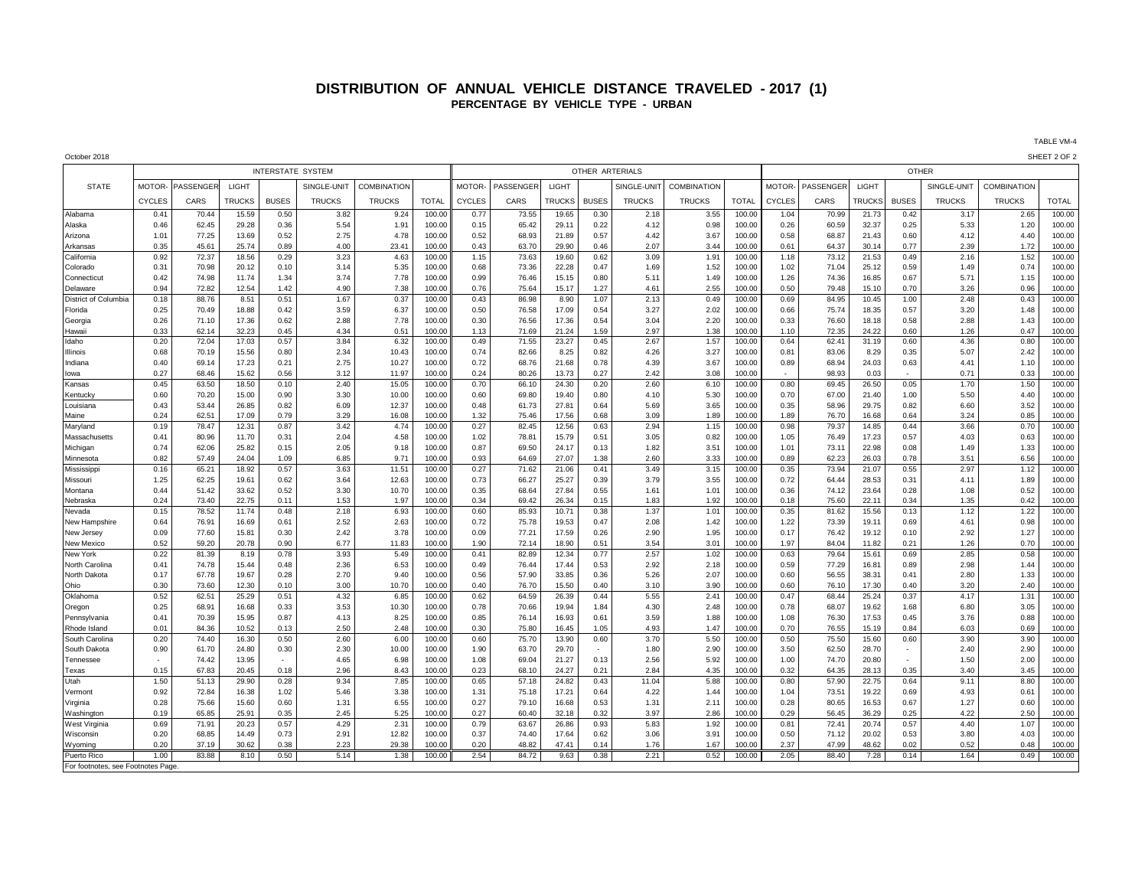## **DISTRIBUTION OF ANNUAL VEHICLE DISTANCE TRAVELED - 2017 (1) PERCENTAGE BY VEHICLE TYPE - URBAN**

October 2018 SHEET 2 OF 2 INTERSTATE SYSTEM OTHER ARTERIALS OTHER STATE MOTOR- PASSENGER LIGHT SINGLE-UNIT COMBINATION MOTOR- PASSENGER LIGHT SINGLE-UNIT COMBINATION MOTOR- PASSENGER LIGHT SINGLE-UNIT COMBINATION CYCLES | CARS |TRUCKS | BUSES | TRUCKS | TRUCKS | TOTAL ||CYCLES | CARS |TRUCKS|BUSES | TRUCKS | TRUCKS | TOTAL ||CYCLES | CARS |TRUCKS |BUSES | TRUCKS | TRUCKS | TRUCKS | TOTAL Alabama | 0.41 70.44 15.59 0.50 3.82 | 9.24 100.00 0.77 73.55 19.65 0.30 2.18 3.55 100.00 1.04 70.99 21.73 0.42 3.17 2.65 100.00 Alaska | 0.46 62.45 29.28 0.36 5.54 1.91 100.00 0.15 65.42 29.11 0.22 4.12 0.98 100.00 0.26 60.59 32.37 0.25 5.33 1.20 100.00 Arizona | 1.01 77.25 13.69 0.52 2.75 | 4.78 100.00 0.52 68.93 21.89 0.57 | 4.42 3.67 100.00 0.58 68.87 21.43 0.60 4.12 1 4.40 100.00 Arkansas | 0.35 45.61 25.74 0.89 4.00 23.41 100.00 0.43 63.70 29.90 0.46 2.07 3.44 100.00 0.61 64.37 30.14 0.77 2.39 1.72 100.00 California | 0.92 | 72.37 18.56 0.29 3.23 | 4.63 100.00 || 1.15 73.63 19.60 0.62 | 3.09 | 1.91 100.00 1.18 73.12 21.53 0.49 | 2.16 | 1.52 100.00 Colorado | 0.31 70.98 20.12 0.10 3.14 5.35 100.00 0.68 73.36 22.28 0.47 1.69 1.52 100.00 1.02 71.04 25.12 0.59 1.49 0.74 100.00 Connecticut | 0.42 | 74.98 | 11.74 | 1.34 | 7.78 | 100.00 || 0.99 | 76.46 | 1.51 | 0.80 | 5.11 | 1.49 | 100.00 | 1.26 | 1.36 | 16.85 | 0.67 | 1.15 | 100.00 Delaware 0.94 72.82 12.54 1.42 4.90 7.38 100.00 0.76 75.64 15.17 1.27 4.61 2.55 100.00 0.50 79.48 15.10 0.70 3.26 0.96 100.00 District of Columbia 0.18 88.76 8.51 0.51 1.67 0.37 100.00 0.43 86.98 8.90 1.07 2.13 0.49 100.00 0.69 84.95 10.45 1.00 2.48 0.43 100.00 Florida | 0.25 | 70.49 | 18.88 | 0.42 | 3.59 | 6.37 | 100.00 || 0.56 | 1.7.09 | 0.54 | 3.27 | 2.02 | 100.00 | 0.56 | 75.74 | 18.35 | 0.57 | 3. Georgia | 0.26 71.10 17.36 0.62 | 2.88 7.78 100.00 0.30 76.56 17.36 0.54 3.04 2.20 100.00 0.33 76.60 18.18 0.58 2.88 1.43 100.00 Hawaii | 0.33 62.14 32.23 0.45 4.34 0.51 100.00 1.13 71.69 21.24 1.59 2.97 1.38 100.00 1.10 72.35 24.22 0.60 1.26 0.47 100.00 Idaho 0.20 72.04 17.03 0.57 3.84 6.32 100.00 0.49 71.55 23.27 0.45 2.67 1.57 100.00 0.64 62.41 31.19 0.60 4.36 0.80 100.00 Illinois | 0.68 70.19 15.56 0.80 | 2.34 10.43 100.00 0.74 82.66 8.25 0.82 4.26 3.27 100.00 0.81 8.306 8.29 0.35 5.07 2.42 100.00 Indiana | 0.40 | 69.14 17.23 0.21 | 2.75 | 10.27 100.00 || 0.72 | 68.76 | 21.68 | 0.78 | 4.39 | 3.67 | 100.00 | 0.89 | 68.94 | 24.03 | 0.63 | 4.41 | 1.10 100.00 Iowa 0.27 68.46 15.62 0.56 3.12 11.97 100.00 0.24 80.26 13.73 0.27 2.42 3.08 100.00 - 98.93 0.03 - 0.71 0.33 100.00 Kansas | 0.45 | 63.50 18.50 0.10 | 2.40 | 15.05 100.00 || 0.70 | 66.10 |24.30 0.20 | 2.60 | 6.10 |100.00 0.80 | 69.45 | 26.50 0.05 | 1.70 | 1.50 100.00 Kentucky | 0.60 70.20 15.00 0.90 3.30 10.00 100.00 0.60 69.80 19.40 0.80 4.10 5.30 100.00 0.70 67.00 21.40 1.00 5.50 4.40 100.00 Louisiana 0.43 53.44 26.85 0.82 6.09 12.37 100.00 0.48 61.73 27.81 0.64 5.69 3.65 100.00 0.35 58.96 29.75 0.82 6.60 3.52 100.00 Maine | 0.24 | 62.51 | 17.09 | 3.29 | 16.08 | 100.00 || 1.32 | 75.46 | 0.86 | 0.85 | 100.00 | 1.59 | 1.89 | 100.00 | 1.89 | 76. Maryland | 0.19 78.47 12.31 0.87 3.42 | 4.74 100.00 || 0.27 | 82.45 | 12.56 | 0.63 | 2.94 | 1.15 | 100.00 | 0.98 | 79.37 | 14.85 | 0.44 | 3.66 | 0.70 | 100.00 Massachusetts | 0.41 | 80.96 | 11.70 | 0.31 | 2.04 | 4.58 | 100.00 || 1.02 | 78.81 | 15.79 | 0.51 | 0.35 | 0.82 | 100.00 | 1.05 | 76.49 | 17.23 | 0.57 | 4.03 | 0.63 | 100.00 Michigan | 0.74 62.06 25.82 0.15 2.05 9.18 100.00 0.87 69.50 24.17 0.13 1.82 3.51 100.00 1.01 73.11 22.98 0.08 1.49 1.33 100.00 Minnesota | 0.82 | 57.49 24.04 1.09 | 6.85 | 9.71 100.00 || 0.93 | 64.69 27.07 1.38 | 2.60 | 3.33 100.00 0.89 | 62.23 26.03 0.78 | 3.51 | 6.56 100.00 Mississippi | 0.16 65.21 18.92 0.57 3.63 11.51 100.00 0.27 71.62 21.06 0.41 3.49 3.15 100.00 0.35 73.94 21.07 0.55 2.97 1.12 100.00 Missouri | 1.25 | 62.25 19.61 | 0.62 | 3.64 | 12.63 |100.00 || 0.73 | 66.27 | 25.27 | 0.39 | 3.79 | 3.55 |100.00 | 0.72 | 64.44 | 28.53 | 0.31 | 4.11 | 1.89 100.00 Montana | 0.44 51.42 33.62 0.52 3.30 10.70 100.00 0.35 68.64 27.84 0.55 1.61 1.01 100.00 0.36 74.12 23.64 0.28 1.08 0.52 100.00 Nebraska | 0.24 73.40 22.75 0.11 1.53 1.97 100.00 0.34 69.42 26.34 0.15 1.83 1.92 100.00 0.18 75.60 22.11 0.34 1.35 0.42 100.00 Nevada | 0.15 78.52 11.74 0.48 2.18 6.93 100.00 0.60 85.93 10.71 0.38 1.37 1.01 100.00 0.35 81.62 15.56 0.13 1.12 1.22 100.00 New Hampshire | 0.64 | 76.91 | 16.69 | 0.61 | 2.52 | 2.63 | 100.00 || 0.72 | 75.78 | 19.53 | 0.47 | 2.08 | 1.42 | 100.00 | 1.22 | 73.39 | 19.11 | 0.69 | 4.61 | 0.98 | 100.00 New Jersey | 0.09 77.60 15.81 0.30 | 2.42 | 3.78 100.00 0.09 77.21 17.59 0.26 2.90 1.95 100.00 0.17 76.42 19.12 0.10 2.92 1.27 100.00 New Mexico | 0.52 | 59.20 20.78 0.90 | 6.77 | 11.83 100.00 || 1.90 | 72.14 18.90 0.51 | 3.54 | 3.01 |100.00 1.97 | 84.04 11.82 0.21 | 1.26 | 0.70 100.00 New York | 0.22 | 81.39 | 8.19 | 0.78 | 3.93 | 5.49 100.00 || 0.41 | 82.89 12.34 | 0.77 | 2.57 | 1.02 | 100.00 | 0.63 | 79.64 | 15.61 | 0.69 | 2.85 | 0.58 | 100.00 North Carolina | 0.41 | 74.78 | 15.44 0.48 | 2.36 | 6.53 | 100.00 || 0.49 | 76.44 | 17.44 0.53 | 2.92 | 2.18 | 100.00 | 0.59 | 77.29 | 16.81 | 0.89 | 2.98 | 1.44 100.00 North Dakota | 0.17 67.78 19.67 0.28 2.70 9.40 100.00 0.56 57.90 33.85 0.36 5.26 2.07 100.00 0.60 56.55 38.31 0.41 2.80 1.33 100.00 Ohio | 0.30 | 73.60 | 12.30 | 0.10 | 10.70 | 100.00 || 0.40 | 76.70 | 0.40 | 3.90 | 3.90 | 76.0 | 76.10 | 77.30 | 0.4 Oklahoma | 0.52 62.51 25.29 0.51 4.32 6.85 100.00 0.62 64.59 26.39 0.44 5.55 2.41 100.00 0.47 68.44 25.24 0.37 4.17 1.31 100.00 Oregon | 0.25 | 68.91 16.68 0.33 | 3.53 | 100.00 || 0.78 | 70.66 19.94 1.84 | 4.30 | 2.48 100.00 0.78 | 68.07 | 19.62 | 1.68 | 6.80 | 3.05 100.00 Pennsylvania | 0.41 70.39 15.95 0.87 4.13 8.25 100.00 0.85 76.14 16.93 0.61 3.59 1.88 100.00 1.08 76.30 17.53 0.45 3.76 0.88 100.00 Rhode Island | 0.01 | 84.36 | 10.52 | 0.13 | 2.50 | 2.48 | 100.00 || 0.30 | 75.80 | 16.45 | 1.05 | 4.93 | 1.47 | 100.00 | 0.70 | 76.55 | 15.19 | 0.84 | 6.03 | 0.69 | 100.00 South Carolina | 0.20 | 74.40 | 16.30 | 0.50 | 0.60 | 100.00 || 0.60 | 75.70 | 13.90 0.60 | 3.70 | 3.90 | 100.00 | 0.50 | 15.50 | 15.60 | 0.60 | 3.90 | 100.00 | 3.90 | 100.00 South Dakota | 0.90 | 61.70 | 24.80 | 0.30 | 2.30 | 10.00 | 100.00 || 1.90 | 63.70 | 2.970 | - | 1.80 | 2.90 | 100.00 | 3.50 | 62.50 | 2.870 | - | 2.40 | 2.90 | 100.00 Tennessee | -| 74.42| 13.95| -| -4.65| -6.98| 100.00| 1.08| 69.04| 21.27| 0.13| -2.56| -5.92| 100.00| 1.00| 74.70| 20.80| -| -1.50| -2.00| 100.00 Texas | 0.15 | 67.83 20.45 | 0.18 | 2.96 | 8.43 |100.00 || 0.23 | 68.10 | 24.27 | 0.21 | 2.84 | 4.35 | 100.00 | 0.32 | 64.35 | 28.13 | 0.35 | 3.40 | 3.45 |100.00 Utah | 1.50 51.13 29.90 0.28 9.34 7.85 100.00 0.65 57.18 24.82 0.43 11.04 5.88 100.00 0.80 57.90 22.75 0.64 9.11 8.80 100.00 Vermont | 0.92 | 72.84 16.38 1.02 | 5.46 | 3.38 100.00 || 1.31 | 75.18 17.21 | 0.64 | 4.22 | 1.44 100.00 | 1.04 | 73.51 19.22 0.69 | 4.93 | 0.61 100.00 Virginia | 0.28 75.66 15.60 0.60 1.31 6.55 100.00 0.27 79.10 16.68 0.53 1.31 2.11 100.00 0.28 80.65 16.53 0.67 1.27 0.60 100.00 Washington | 0.19 65.85 25.91 0.35 2.45 5.25 100.00 0.27 60.40 32.18 0.32 3.97 2.86 100.00 0.29 56.45 36.29 0.25 4.22 2.50 100.00 WestVirginia | 0.69 71.91 20.23 0.57 4.29 2.31 100.00 0.79 63.67 26.86 0.93 5.83 1.92 100.00 0.81 72.41 20.74 0.57 4.40 1.07 100.00 Wisconsin | 0.20 68.85 14.49 0.73 | 2.91 12.82 100.00 0.37 74.40 17.64 0.62 3.06 3.91 100.00 0.50 71.12 20.02 0.53 3.80 4.03 100.00 Wyoming | 0.20 | 37.19 30.62 | 0.38 | 2.23 | 29.38 100.00 || 0.20 | 48.82 | 47.41 | 0.14 | 1.76 | 1.67 | 100.00 | 2.37 | 47.99 | 48.62 | 0.02 | 0.52 | 0.48 100.00 Puerto Rico | 1.00 83.88 8.10 0.50 5.14 1.38 100.00 2.54 84.72 9.63 0.38 2.21 0.52 100.00 2.05 88.40 7.28 0.14 1.64 0.49 100.00 For footnotes, see Footnotes Page.

TABLE VM-4